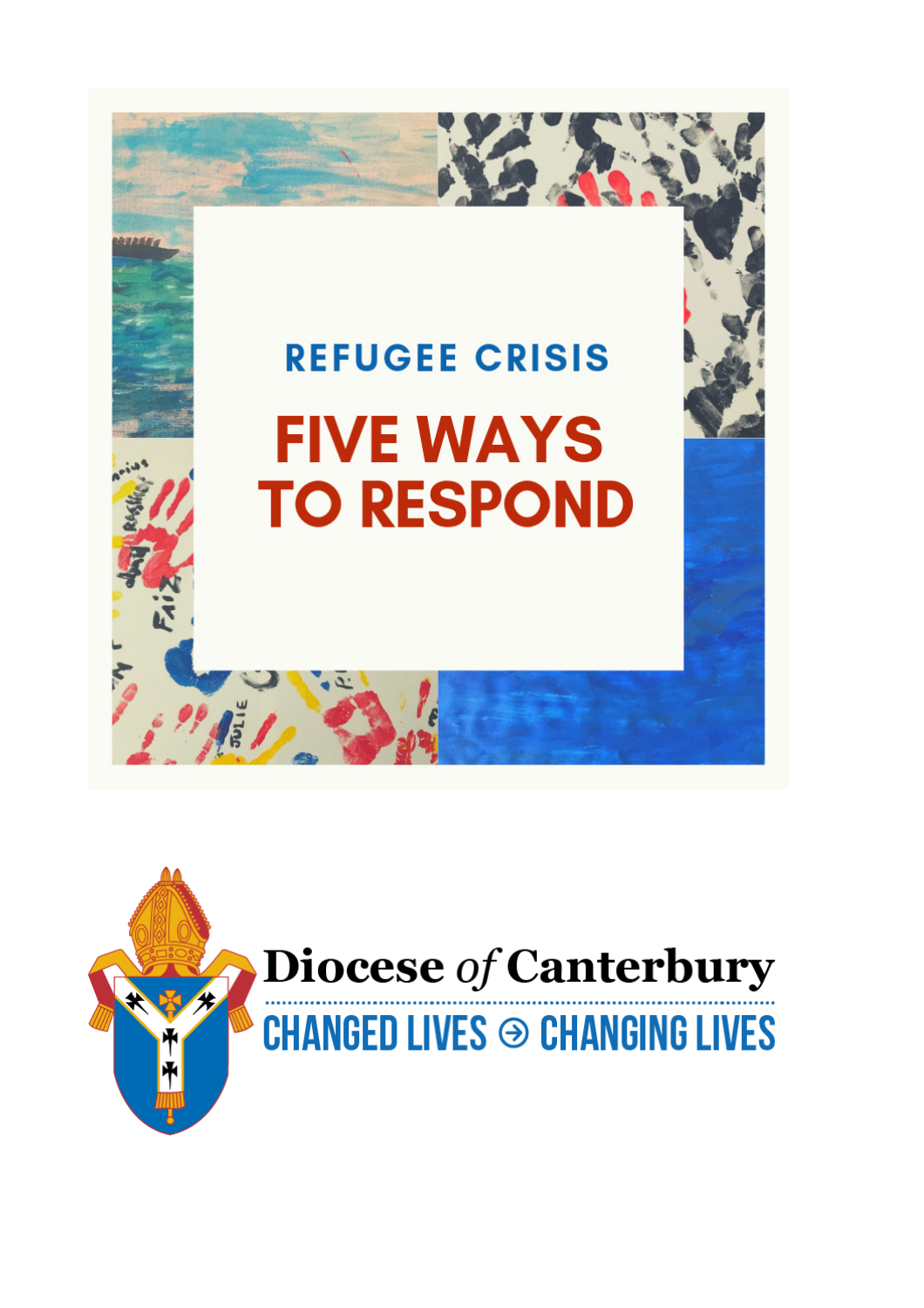

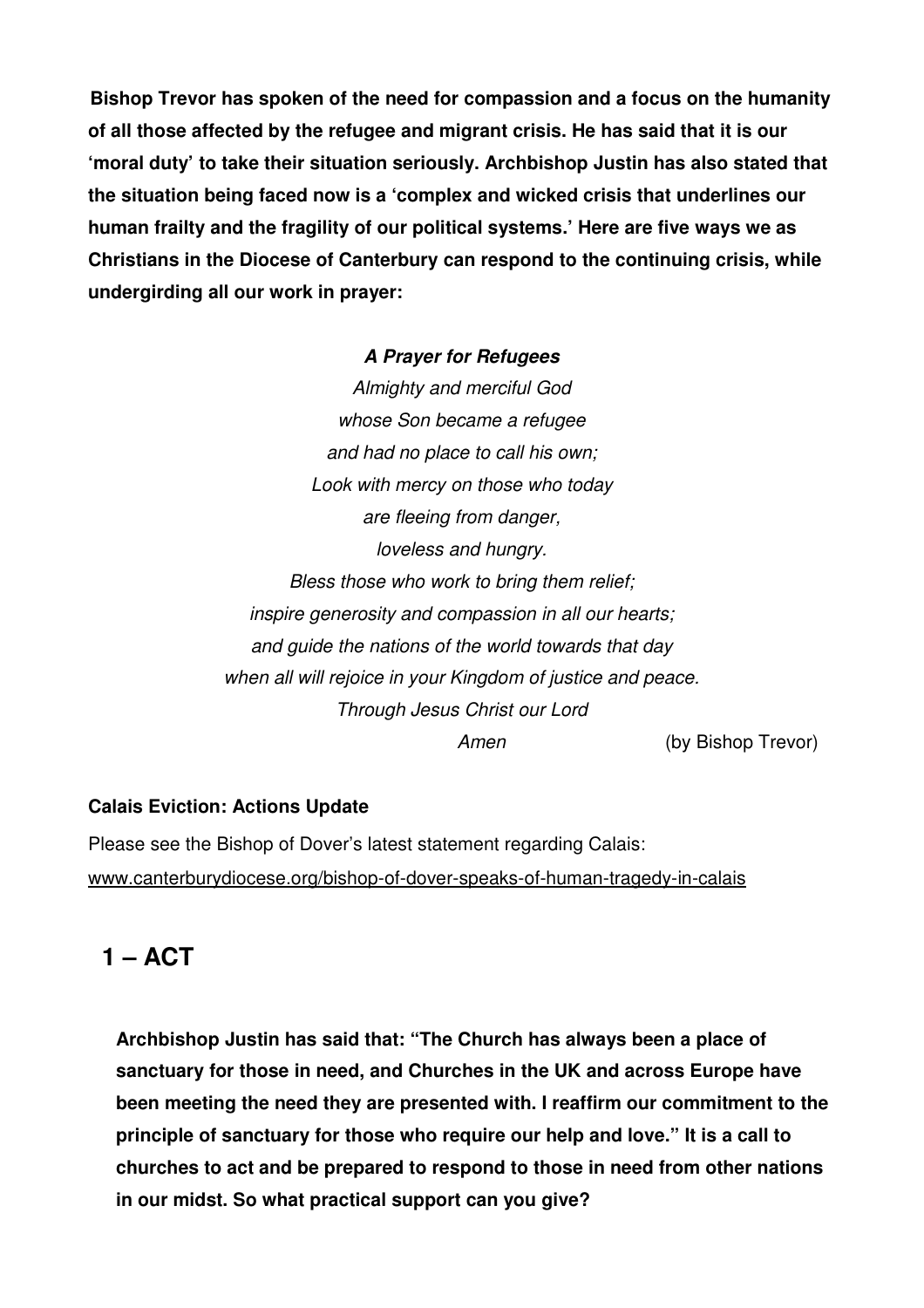**Bishop Trevor has spoken of the need for compassion and a focus on the humanity of all those affected by the refugee and migrant crisis. He has said that it is our 'moral duty' to take their situation seriously. Archbishop Justin has also stated that the situation being faced now is a 'complex and wicked crisis that underlines our human frailty and the fragility of our political systems.' Here are five ways we as Christians in the Diocese of Canterbury can respond to the continuing crisis, while undergirding all our work in prayer:** 

#### **A Prayer for Refugees**

Almighty and merciful God whose Son became a refugee and had no place to call his own; Look with mercy on those who today are fleeing from danger, loveless and hungry. Bless those who work to bring them relief; inspire generosity and compassion in all our hearts; and guide the nations of the world towards that day when all will rejoice in your Kingdom of justice and peace. Through Jesus Christ our Lord Amen (by Bishop Trevor)

#### **Calais Eviction: Actions Update**

Please see the Bishop of Dover's latest statement regarding Calais: www.canterburydiocese.org/bishop-of-dover-speaks-of-human-tragedy-in-calais

## **1 – ACT**

**Archbishop Justin has said that: "The Church has always been a place of sanctuary for those in need, and Churches in the UK and across Europe have been meeting the need they are presented with. I reaffirm our commitment to the principle of sanctuary for those who require our help and love." It is a call to churches to act and be prepared to respond to those in need from other nations in our midst. So what practical support can you give?**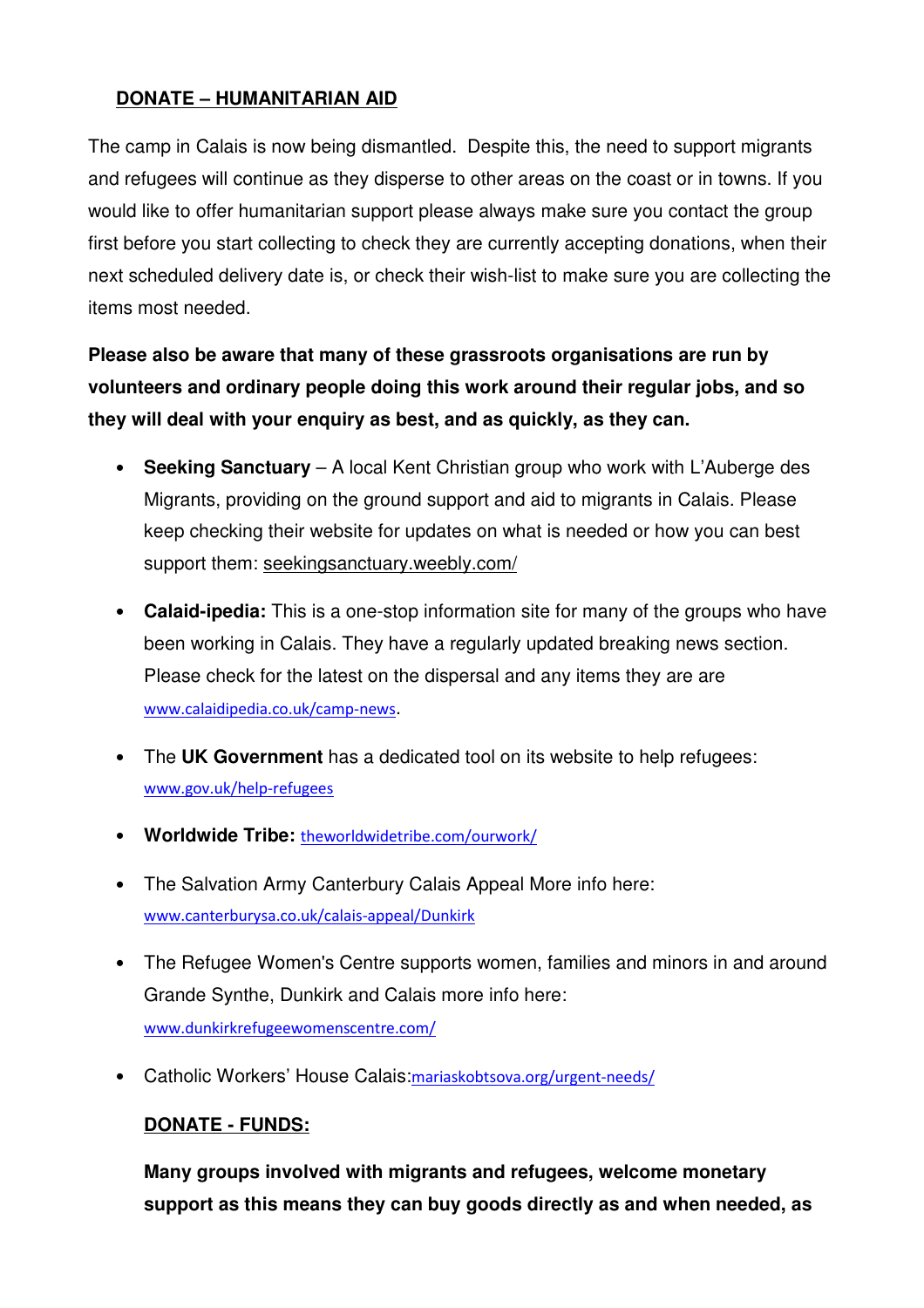### **DONATE – HUMANITARIAN AID**

The camp in Calais is now being dismantled. Despite this, the need to support migrants and refugees will continue as they disperse to other areas on the coast or in towns. If you would like to offer humanitarian support please always make sure you contact the group first before you start collecting to check they are currently accepting donations, when their next scheduled delivery date is, or check their wish-list to make sure you are collecting the items most needed.

**Please also be aware that many of these grassroots organisations are run by volunteers and ordinary people doing this work around their regular jobs, and so they will deal with your enquiry as best, and as quickly, as they can.** 

- **Seeking Sanctuary** A local Kent Christian group who work with L'Auberge des Migrants, providing on the ground support and aid to migrants in Calais. Please keep checking their website for updates on what is needed or how you can best support them: seekingsanctuary.weebly.com/
- **Calaid-ipedia:** This is a one-stop information site for many of the groups who have been working in Calais. They have a regularly updated breaking news section. Please check for the latest on the dispersal and any items they are are www.calaidipedia.co.uk/camp-news.
- The **UK Government** has a dedicated tool on its website to help refugees: www.gov.uk/help-refugees
- **Worldwide Tribe:** theworldwidetribe.com/ourwork/
- The Salvation Army Canterbury Calais Appeal More info here: www.canterburysa.co.uk/calais-appeal/Dunkirk
- The Refugee Women's Centre supports women, families and minors in and around Grande Synthe, Dunkirk and Calais more info here: www.dunkirkrefugeewomenscentre.com/
- Catholic Workers' House Calais:mariaskobtsova.org/urgent-needs/

### **DONATE - FUNDS:**

**Many groups involved with migrants and refugees, welcome monetary support as this means they can buy goods directly as and when needed, as**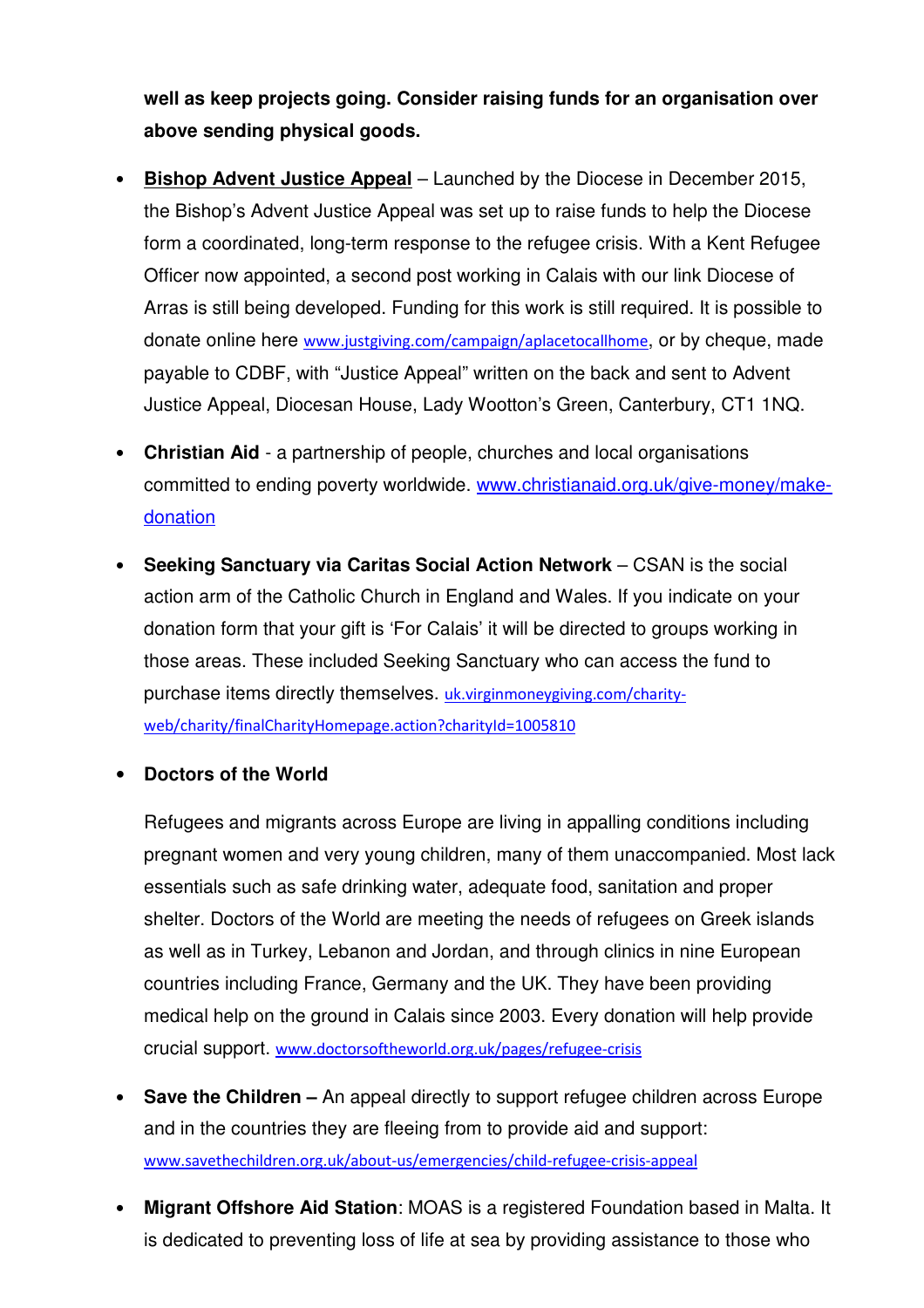**well as keep projects going. Consider raising funds for an organisation over above sending physical goods.**

- **Bishop Advent Justice Appeal** Launched by the Diocese in December 2015, the Bishop's Advent Justice Appeal was set up to raise funds to help the Diocese form a coordinated, long-term response to the refugee crisis. With a Kent Refugee Officer now appointed, a second post working in Calais with our link Diocese of Arras is still being developed. Funding for this work is still required. It is possible to donate online here www.justgiving.com/campaign/aplacetocallhome, or by cheque, made payable to CDBF, with "Justice Appeal" written on the back and sent to Advent Justice Appeal, Diocesan House, Lady Wootton's Green, Canterbury, CT1 1NQ.
- **Christian Aid** a partnership of people, churches and local organisations committed to ending poverty worldwide. www.christianaid.org.uk/give-money/makedonation
- **Seeking Sanctuary via Caritas Social Action Network** CSAN is the social action arm of the Catholic Church in England and Wales. If you indicate on your donation form that your gift is 'For Calais' it will be directed to groups working in those areas. These included Seeking Sanctuary who can access the fund to purchase items directly themselves. uk.virginmoneygiving.com/charityweb/charity/finalCharityHomepage.action?charityId=1005810
- **Doctors of the World**

Refugees and migrants across Europe are living in appalling conditions including pregnant women and very young children, many of them unaccompanied. Most lack essentials such as safe drinking water, adequate food, sanitation and proper shelter. Doctors of the World are meeting the needs of refugees on Greek islands as well as in Turkey, Lebanon and Jordan, and through clinics in nine European countries including France, Germany and the UK. They have been providing medical help on the ground in Calais since 2003. Every donation will help provide crucial support. www.doctorsoftheworld.org.uk/pages/refugee-crisis

- **Save the Children** An appeal directly to support refugee children across Europe and in the countries they are fleeing from to provide aid and support: www.savethechildren.org.uk/about-us/emergencies/child-refugee-crisis-appeal
- **Migrant Offshore Aid Station**: MOAS is a registered Foundation based in Malta. It is dedicated to preventing loss of life at sea by providing assistance to those who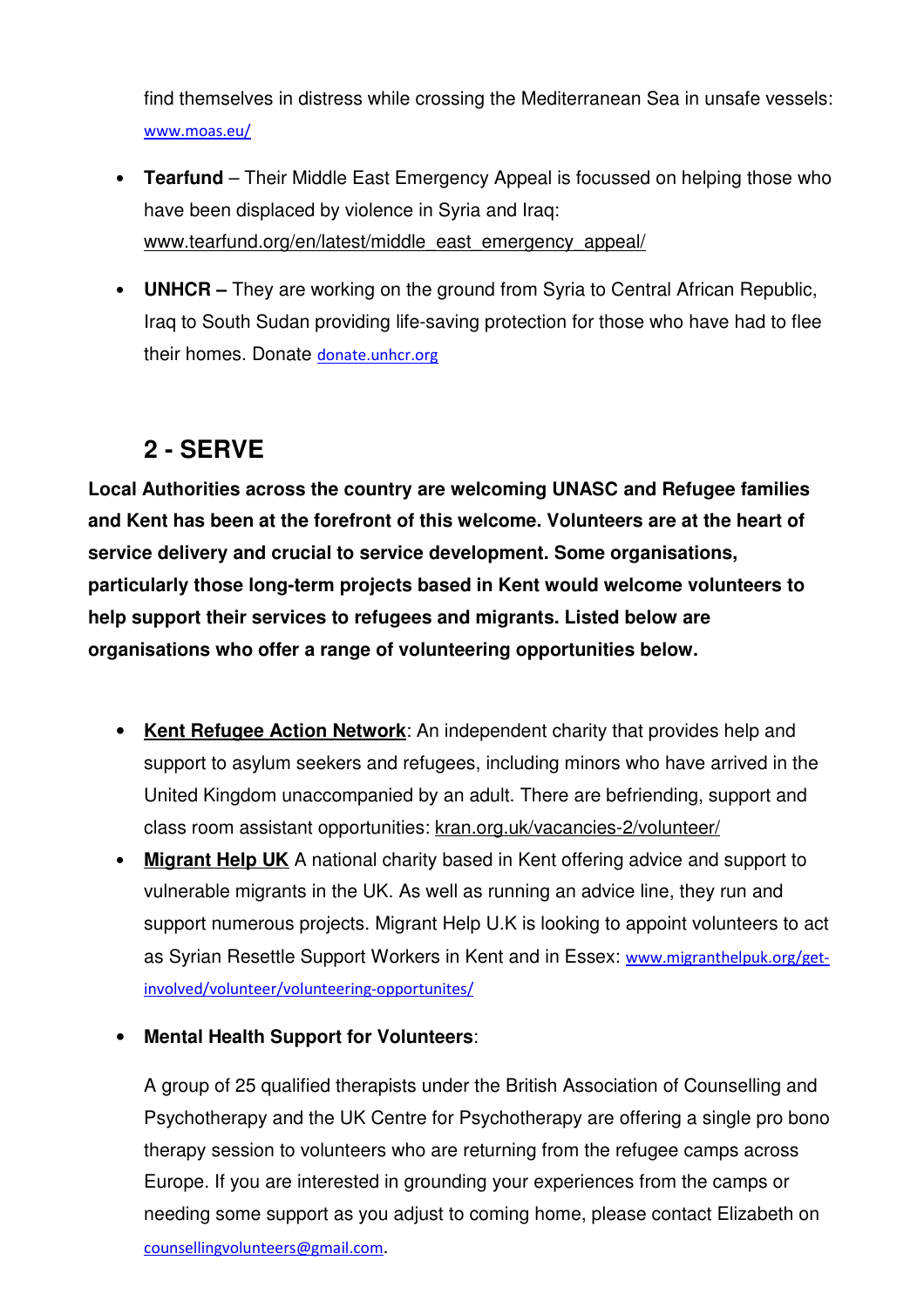find themselves in distress while crossing the Mediterranean Sea in unsafe vessels: www.moas.eu/

- **Tearfund** Their Middle East Emergency Appeal is focussed on helping those who have been displaced by violence in Syria and Iraq: www.tearfund.org/en/latest/middle\_east\_emergency\_appeal/
- **UNHCR** They are working on the ground from Syria to Central African Republic, Iraq to South Sudan providing life-saving protection for those who have had to flee their homes. Donate donate.unhcr.org

# **2 - SERVE**

**Local Authorities across the country are welcoming UNASC and Refugee families and Kent has been at the forefront of this welcome. Volunteers are at the heart of service delivery and crucial to service development. Some organisations, particularly those long-term projects based in Kent would welcome volunteers to help support their services to refugees and migrants. Listed below are organisations who offer a range of volunteering opportunities below.**

- **Kent Refugee Action Network**: An independent charity that provides help and support to asylum seekers and refugees, including minors who have arrived in the United Kingdom unaccompanied by an adult. There are befriending, support and class room assistant opportunities: kran.org.uk/vacancies-2/volunteer/
- **Migrant Help UK** A national charity based in Kent offering advice and support to vulnerable migrants in the UK. As well as running an advice line, they run and support numerous projects. Migrant Help U.K is looking to appoint volunteers to act as Syrian Resettle Support Workers in Kent and in Essex: www.migranthelpuk.org/getinvolved/volunteer/volunteering-opportunites/
- **Mental Health Support for Volunteers**:

A group of 25 qualified therapists under the British Association of Counselling and Psychotherapy and the UK Centre for Psychotherapy are offering a single pro bono therapy session to volunteers who are returning from the refugee camps across Europe. If you are interested in grounding your experiences from the camps or needing some support as you adjust to coming home, please contact Elizabeth on counsellingvolunteers@gmail.com.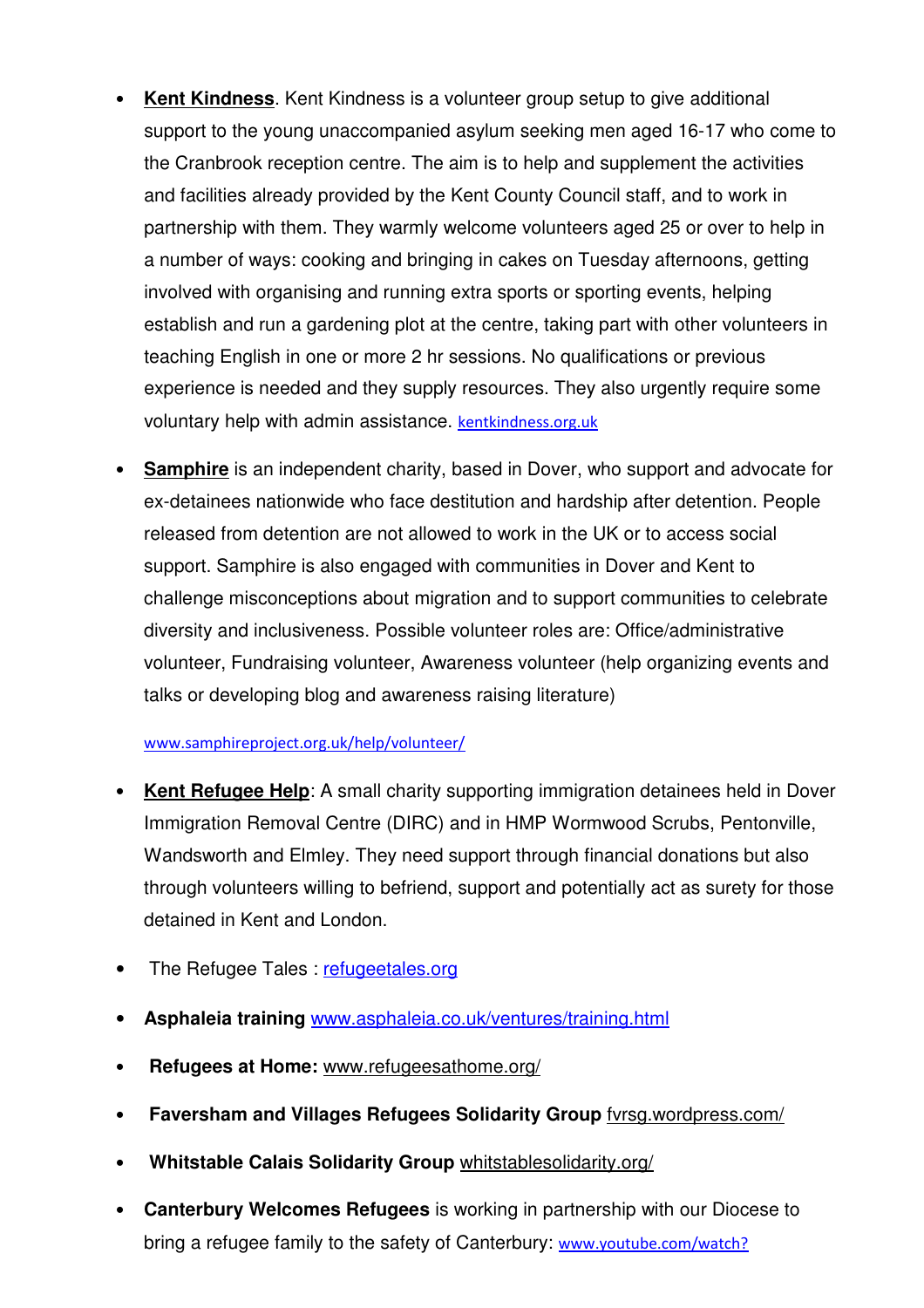- **Kent Kindness**. Kent Kindness is a volunteer group setup to give additional support to the young unaccompanied asylum seeking men aged 16-17 who come to the Cranbrook reception centre. The aim is to help and supplement the activities and facilities already provided by the Kent County Council staff, and to work in partnership with them. They warmly welcome volunteers aged 25 or over to help in a number of ways: cooking and bringing in cakes on Tuesday afternoons, getting involved with organising and running extra sports or sporting events, helping establish and run a gardening plot at the centre, taking part with other volunteers in teaching English in one or more 2 hr sessions. No qualifications or previous experience is needed and they supply resources. They also urgently require some voluntary help with admin assistance. kentkindness.org.uk
- **Samphire** is an independent charity, based in Dover, who support and advocate for ex-detainees nationwide who face destitution and hardship after detention. People released from detention are not allowed to work in the UK or to access social support. Samphire is also engaged with communities in Dover and Kent to challenge misconceptions about migration and to support communities to celebrate diversity and inclusiveness. Possible volunteer roles are: Office/administrative volunteer, Fundraising volunteer, Awareness volunteer (help organizing events and talks or developing blog and awareness raising literature)

#### www.samphireproject.org.uk/help/volunteer/

- **Kent Refugee Help**: A small charity supporting immigration detainees held in Dover Immigration Removal Centre (DIRC) and in HMP Wormwood Scrubs, Pentonville, Wandsworth and Elmley. They need support through financial donations but also through volunteers willing to befriend, support and potentially act as surety for those detained in Kent and London.
- The Refugee Tales: refugeetales.org
- **Asphaleia training** www.asphaleia.co.uk/ventures/training.html
- • **Refugees at Home:** www.refugeesathome.org/
- • **Faversham and Villages Refugees Solidarity Group** fvrsg.wordpress.com/
- • **Whitstable Calais Solidarity Group** whitstablesolidarity.org/
- **Canterbury Welcomes Refugees** is working in partnership with our Diocese to bring a refugee family to the safety of Canterbury: www.youtube.com/watch?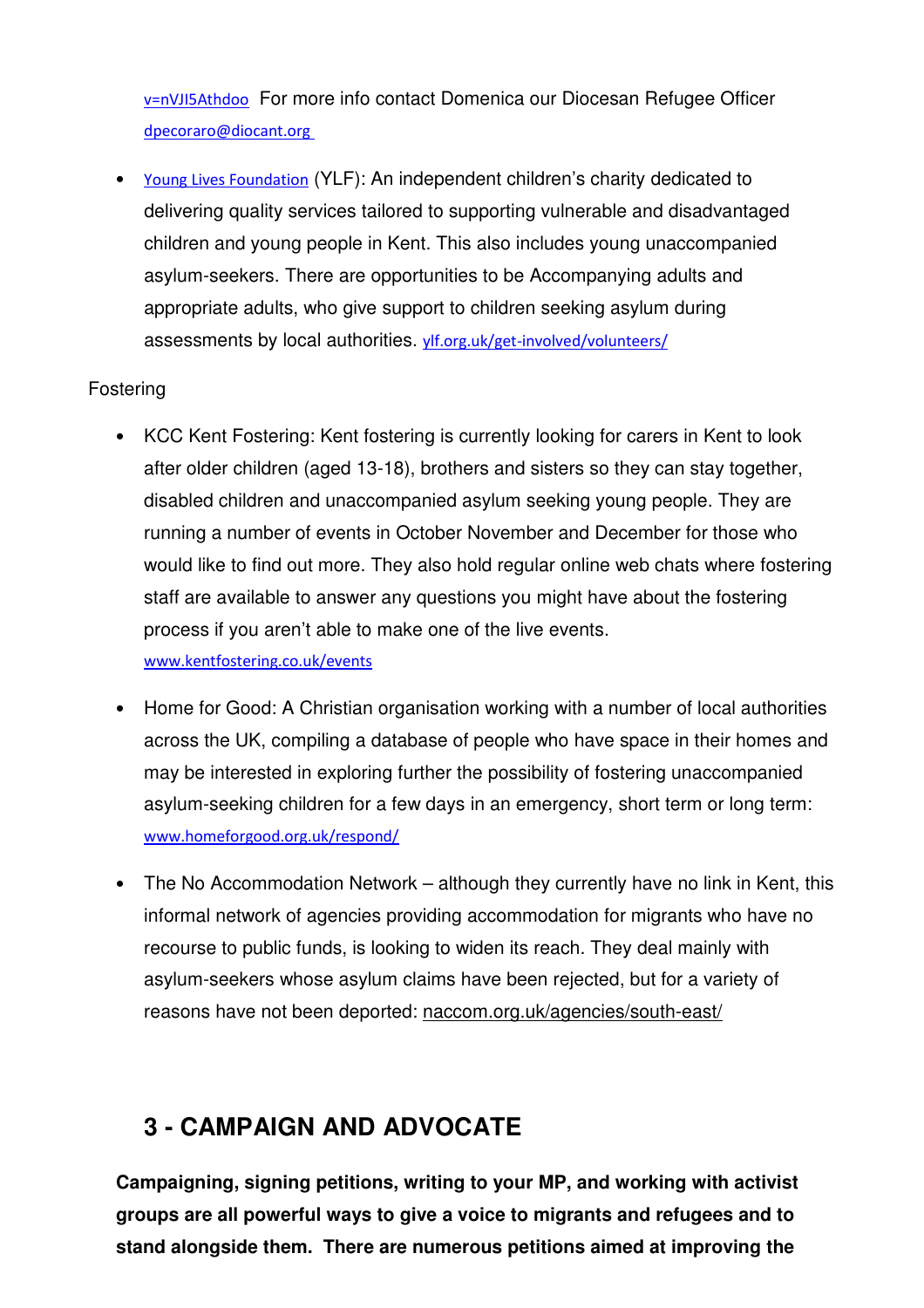v=nVJI5Athdoo For more info contact Domenica our Diocesan Refugee Officer dpecoraro@diocant.org

• Young Lives Foundation (YLF): An independent children's charity dedicated to delivering quality services tailored to supporting vulnerable and disadvantaged children and young people in Kent. This also includes young unaccompanied asylum-seekers. There are opportunities to be Accompanying adults and appropriate adults, who give support to children seeking asylum during assessments by local authorities. ylf.org.uk/get-involved/volunteers/

### Fostering

- KCC Kent Fostering: Kent fostering is currently looking for carers in Kent to look after older children (aged 13-18), brothers and sisters so they can stay together, disabled children and unaccompanied asylum seeking young people. They are running a number of events in October November and December for those who would like to find out more. They also hold regular online web chats where fostering staff are available to answer any questions you might have about the fostering process if you aren't able to make one of the live events. www.kentfostering.co.uk/events
- Home for Good: A Christian organisation working with a number of local authorities across the UK, compiling a database of people who have space in their homes and may be interested in exploring further the possibility of fostering unaccompanied asylum-seeking children for a few days in an emergency, short term or long term: www.homeforgood.org.uk/respond/
- The No Accommodation Network although they currently have no link in Kent, this informal network of agencies providing accommodation for migrants who have no recourse to public funds, is looking to widen its reach. They deal mainly with asylum-seekers whose asylum claims have been rejected, but for a variety of reasons have not been deported: naccom.org.uk/agencies/south-east/

# **3 - CAMPAIGN AND ADVOCATE**

**Campaigning, signing petitions, writing to your MP, and working with activist groups are all powerful ways to give a voice to migrants and refugees and to stand alongside them. There are numerous petitions aimed at improving the**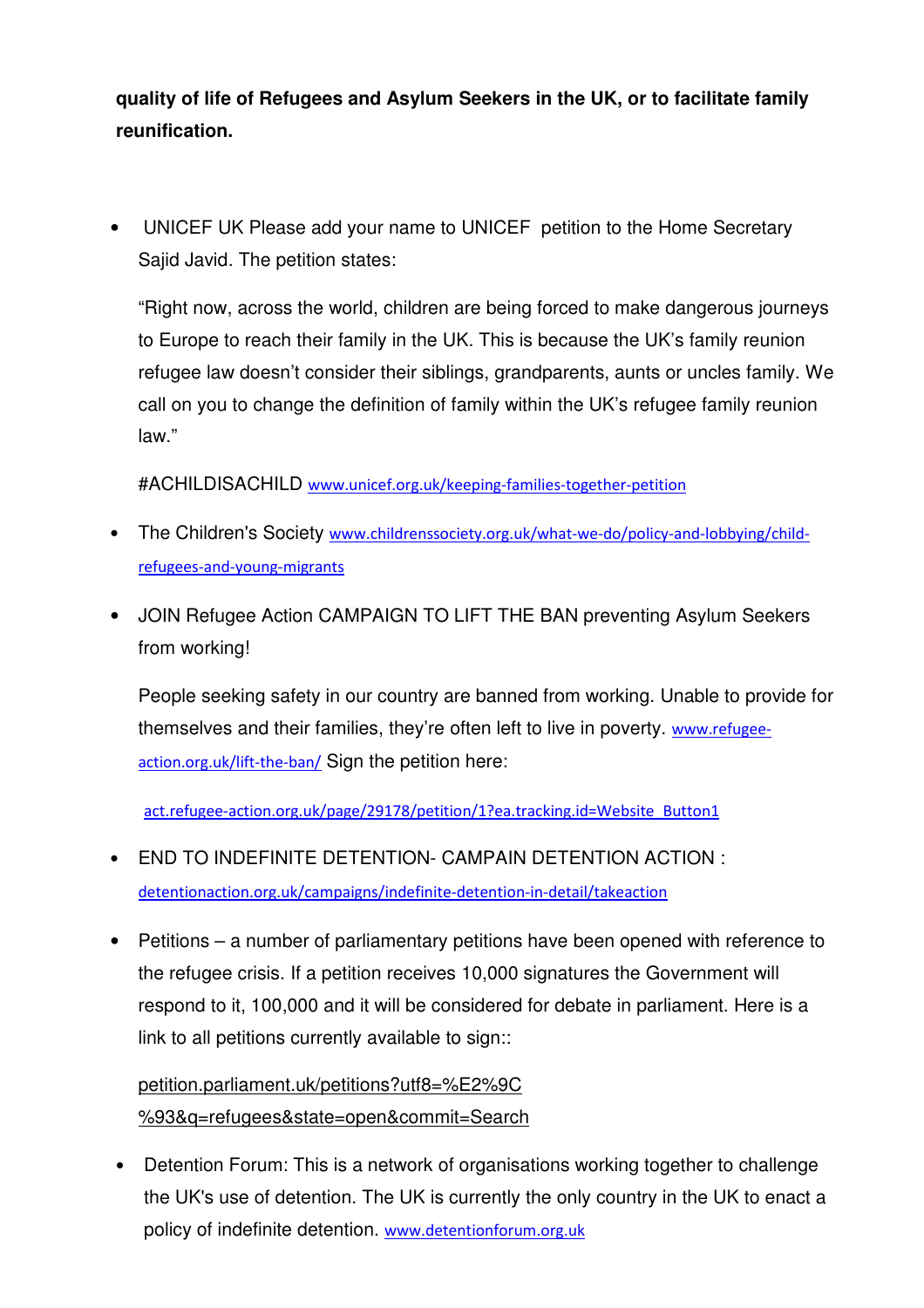**quality of life of Refugees and Asylum Seekers in the UK, or to facilitate family reunification.**

• UNICEF UK Please add your name to UNICEF petition to the Home Secretary Sajid Javid. The petition states:

"Right now, across the world, children are being forced to make dangerous journeys to Europe to reach their family in the UK. This is because the UK's family reunion refugee law doesn't consider their siblings, grandparents, aunts or uncles family. We call on you to change the definition of family within the UK's refugee family reunion law."

#ACHILDISACHILD www.unicef.org.uk/keeping-families-together-petition

- The Children's Society www.childrenssociety.org.uk/what-we-do/policy-and-lobbying/childrefugees-and-young-migrants
- JOIN Refugee Action CAMPAIGN TO LIFT THE BAN preventing Asylum Seekers from working!

People seeking safety in our country are banned from working. Unable to provide for themselves and their families, they're often left to live in poverty. www.refugeeaction.org.uk/lift-the-ban/ Sign the petition here:

act.refugee-action.org.uk/page/29178/petition/1?ea.tracking.id=Website\_Button1

- END TO INDEFINITE DETENTION- CAMPAIN DETENTION ACTION : detentionaction.org.uk/campaigns/indefinite-detention-in-detail/takeaction
- Petitions a number of parliamentary petitions have been opened with reference to the refugee crisis. If a petition receives 10,000 signatures the Government will respond to it, 100,000 and it will be considered for debate in parliament. Here is a link to all petitions currently available to sign::

petition.parliament.uk/petitions?utf8=%E2%9C %93&q=refugees&state=open&commit=Search

• Detention Forum: This is a network of organisations working together to challenge the UK's use of detention. The UK is currently the only country in the UK to enact a policy of indefinite detention. www.detentionforum.org.uk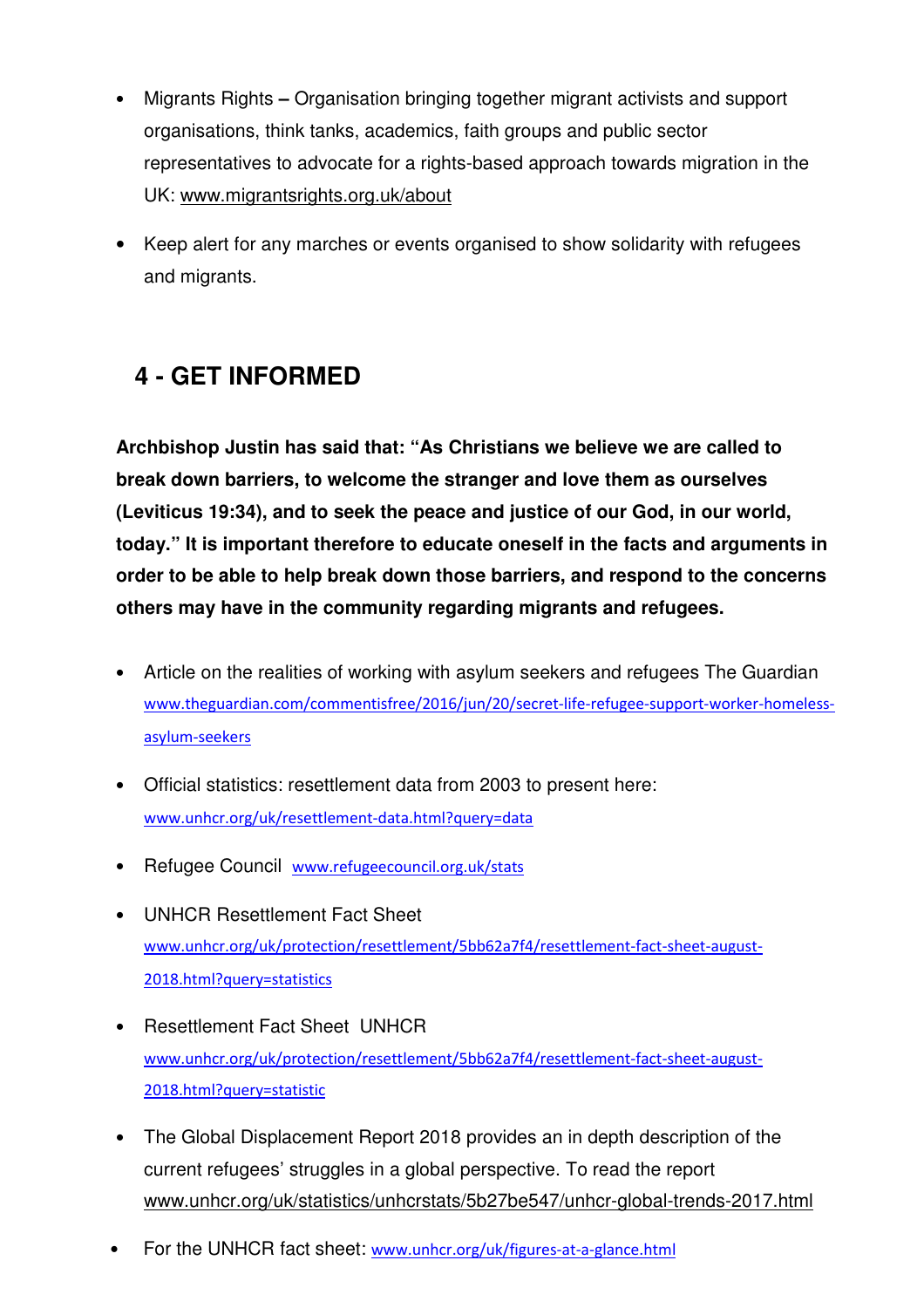- Migrants Rights **–** Organisation bringing together migrant activists and support organisations, think tanks, academics, faith groups and public sector representatives to advocate for a rights-based approach towards migration in the UK: www.migrantsrights.org.uk/about
- Keep alert for any marches or events organised to show solidarity with refugees and migrants.

# **4 - GET INFORMED**

**Archbishop Justin has said that: "As Christians we believe we are called to break down barriers, to welcome the stranger and love them as ourselves (Leviticus 19:34), and to seek the peace and justice of our God, in our world, today." It is important therefore to educate oneself in the facts and arguments in order to be able to help break down those barriers, and respond to the concerns others may have in the community regarding migrants and refugees.**

- Article on the realities of working with asylum seekers and refugees The Guardian www.theguardian.com/commentisfree/2016/jun/20/secret-life-refugee-support-worker-homelessasylum-seekers
- Official statistics: resettlement data from 2003 to present here: www.unhcr.org/uk/resettlement-data.html?query=data
- Refugee Council www.refugeecouncil.org.uk/stats
- UNHCR Resettlement Fact Sheet www.unhcr.org/uk/protection/resettlement/5bb62a7f4/resettlement-fact-sheet-august-2018.html?query=statistics
- Resettlement Fact Sheet UNHCR www.unhcr.org/uk/protection/resettlement/5bb62a7f4/resettlement-fact-sheet-august-2018.html?query=statistic
- The Global Displacement Report 2018 provides an in depth description of the current refugees' struggles in a global perspective. To read the report www.unhcr.org/uk/statistics/unhcrstats/5b27be547/unhcr-global-trends-2017.html
- For the UNHCR fact sheet: www.unhcr.org/uk/figures-at-a-glance.html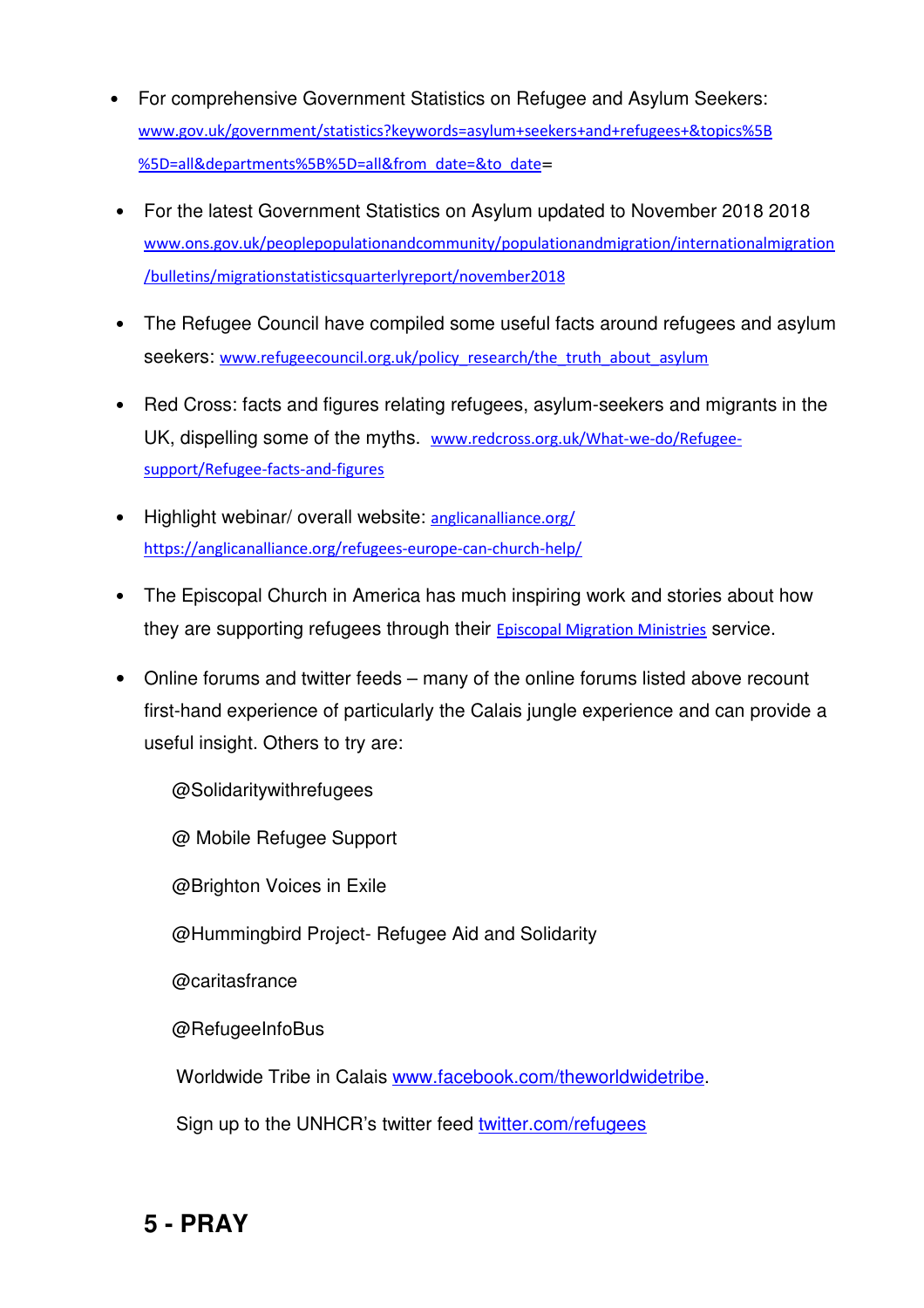- For comprehensive Government Statistics on Refugee and Asylum Seekers: www.gov.uk/government/statistics?keywords=asylum+seekers+and+refugees+&topics%5B %5D=all&departments%5B%5D=all&from\_date=&to\_date=
- For the latest Government Statistics on Asylum updated to November 2018 2018 www.ons.gov.uk/peoplepopulationandcommunity/populationandmigration/internationalmigration /bulletins/migrationstatisticsquarterlyreport/november2018
- The Refugee Council have compiled some useful facts around refugees and asylum seekers: www.refugeecouncil.org.uk/policy\_research/the\_truth\_about\_asylum
- Red Cross: facts and figures relating refugees, asylum-seekers and migrants in the UK, dispelling some of the myths. www.redcross.org.uk/What-we-do/Refugeesupport/Refugee-facts-and-figures
- Highlight webinar/ overall website: anglicanalliance.org/ https://anglicanalliance.org/refugees-europe-can-church-help/
- The Episcopal Church in America has much inspiring work and stories about how they are supporting refugees through their **Episcopal Migration Ministries** service.
- Online forums and twitter feeds many of the online forums listed above recount first-hand experience of particularly the Calais jungle experience and can provide a useful insight. Others to try are:

@Solidaritywithrefugees

@ Mobile Refugee Support

@Brighton Voices in Exile

@Hummingbird Project- Refugee Aid and Solidarity

@caritasfrance

@RefugeeInfoBus

Worldwide Tribe in Calais www.facebook.com/theworldwidetribe.

Sign up to the UNHCR's twitter feed twitter.com/refugees

**5 - PRAY**